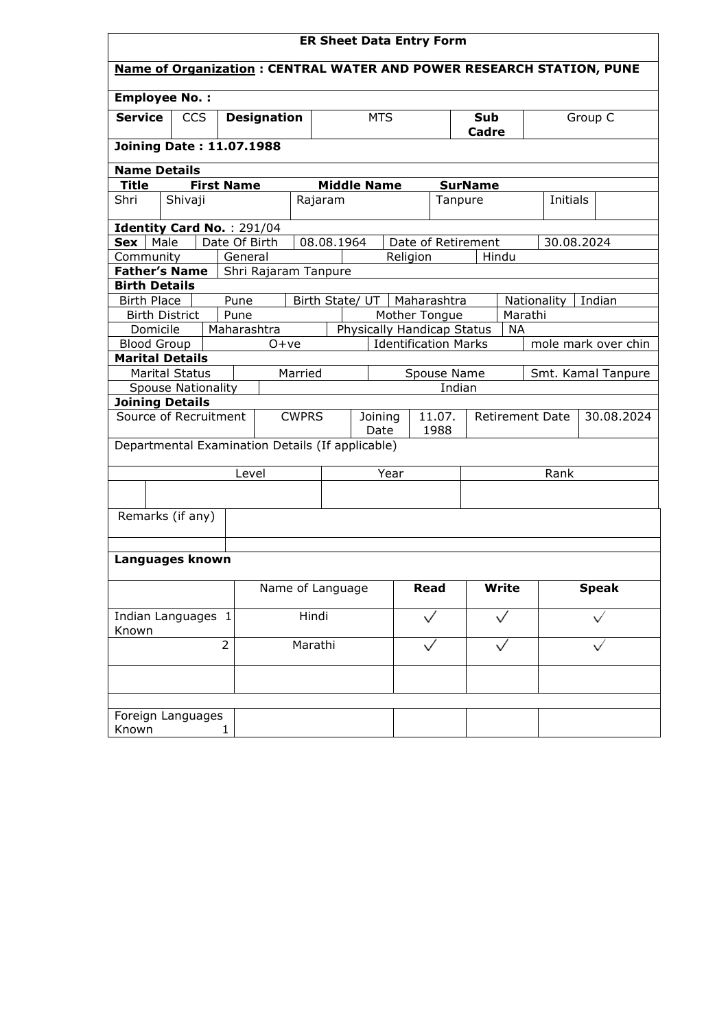| <b>ER Sheet Data Entry Form</b>                                             |                                  |  |                   |         |                      |                 |                            |                                   |                    |                             |         |                |         |                        |                    |                     |
|-----------------------------------------------------------------------------|----------------------------------|--|-------------------|---------|----------------------|-----------------|----------------------------|-----------------------------------|--------------------|-----------------------------|---------|----------------|---------|------------------------|--------------------|---------------------|
| <b>Name of Organization: CENTRAL WATER AND POWER RESEARCH STATION, PUNE</b> |                                  |  |                   |         |                      |                 |                            |                                   |                    |                             |         |                |         |                        |                    |                     |
| <b>Employee No.:</b>                                                        |                                  |  |                   |         |                      |                 |                            |                                   |                    |                             |         |                |         |                        |                    |                     |
| <b>Service</b>                                                              | <b>CCS</b><br><b>Designation</b> |  |                   |         | <b>MTS</b>           |                 |                            | Sub<br>Cadre                      |                    |                             | Group C |                |         |                        |                    |                     |
| <b>Joining Date: 11.07.1988</b>                                             |                                  |  |                   |         |                      |                 |                            |                                   |                    |                             |         |                |         |                        |                    |                     |
| <b>Name Details</b>                                                         |                                  |  |                   |         |                      |                 |                            |                                   |                    |                             |         |                |         |                        |                    |                     |
| <b>Title</b>                                                                |                                  |  | <b>First Name</b> |         |                      |                 |                            |                                   | <b>Middle Name</b> |                             |         | <b>SurName</b> |         |                        |                    |                     |
| Shri                                                                        | Shivaji                          |  |                   |         |                      |                 | Rajaram                    |                                   |                    |                             |         | Tanpure        |         |                        | Initials           |                     |
| Identity Card No.: 291/04                                                   |                                  |  |                   |         |                      |                 |                            |                                   |                    |                             |         |                |         |                        |                    |                     |
| Sex                                                                         | Male                             |  | Date Of Birth     |         |                      |                 | 08.08.1964                 |                                   |                    | Date of Retirement          |         |                |         | 30.08.2024             |                    |                     |
| Community                                                                   |                                  |  |                   | General |                      |                 |                            |                                   | Religion           |                             |         |                | Hindu   |                        |                    |                     |
| Father's Name                                                               |                                  |  |                   |         | Shri Rajaram Tanpure |                 |                            |                                   |                    |                             |         |                |         |                        |                    |                     |
| <b>Birth Details</b>                                                        |                                  |  |                   |         |                      |                 |                            |                                   |                    |                             |         |                |         |                        |                    |                     |
| <b>Birth Place</b>                                                          |                                  |  | Pune              |         |                      | Birth State/ UT |                            |                                   |                    | Maharashtra                 |         |                |         | Nationality<br>Indian  |                    |                     |
| <b>Birth District</b>                                                       |                                  |  | Pune              |         |                      |                 |                            |                                   |                    | Mother Tongue               |         |                | Marathi |                        |                    |                     |
| Domicile                                                                    |                                  |  | Maharashtra       |         |                      |                 | Physically Handicap Status |                                   |                    |                             |         | <b>NA</b>      |         |                        |                    |                     |
| <b>Blood Group</b>                                                          |                                  |  |                   |         | $O+ve$               |                 |                            |                                   |                    | <b>Identification Marks</b> |         |                |         |                        |                    | mole mark over chin |
| <b>Marital Details</b>                                                      |                                  |  |                   |         |                      |                 |                            |                                   |                    |                             |         |                |         |                        |                    |                     |
| <b>Marital Status</b>                                                       |                                  |  |                   | Married |                      |                 | Spouse Name                |                                   |                    |                             |         |                |         |                        | Smt. Kamal Tanpure |                     |
| <b>Spouse Nationality</b>                                                   |                                  |  |                   |         |                      |                 |                            |                                   | Indian             |                             |         |                |         |                        |                    |                     |
| <b>Joining Details</b>                                                      |                                  |  |                   |         |                      |                 |                            |                                   |                    |                             |         |                |         |                        |                    |                     |
| Source of Recruitment                                                       |                                  |  |                   |         | <b>CWPRS</b>         |                 |                            | 11.07.<br>Joining<br>1988<br>Date |                    |                             |         |                |         | <b>Retirement Date</b> |                    | 30.08.2024          |
| Departmental Examination Details (If applicable)                            |                                  |  |                   |         |                      |                 |                            |                                   |                    |                             |         |                |         |                        |                    |                     |
|                                                                             |                                  |  |                   |         | Level                |                 |                            | Year                              |                    |                             |         |                |         | Rank                   |                    |                     |
|                                                                             |                                  |  |                   |         |                      |                 |                            |                                   |                    |                             |         |                |         |                        |                    |                     |
| Remarks (if any)                                                            |                                  |  |                   |         |                      |                 |                            |                                   |                    |                             |         |                |         |                        |                    |                     |
|                                                                             |                                  |  |                   |         |                      |                 |                            |                                   |                    |                             |         |                |         |                        |                    |                     |
| Languages known                                                             |                                  |  |                   |         |                      |                 |                            |                                   |                    |                             |         |                |         |                        |                    |                     |
|                                                                             |                                  |  | Name of Language  |         |                      |                 |                            | <b>Read</b>                       |                    | <b>Write</b>                |         | <b>Speak</b>   |         |                        |                    |                     |
| Indian Languages 1<br>Known                                                 |                                  |  |                   | Hindi   |                      |                 |                            |                                   |                    |                             |         |                |         |                        |                    |                     |
| $\overline{2}$                                                              |                                  |  |                   | Marathi |                      |                 |                            |                                   |                    |                             |         |                |         |                        |                    |                     |
|                                                                             |                                  |  |                   |         |                      |                 |                            |                                   |                    |                             |         |                |         |                        |                    |                     |
|                                                                             |                                  |  |                   |         |                      |                 |                            |                                   |                    |                             |         |                |         |                        |                    |                     |
| Foreign Languages<br>Known                                                  |                                  |  | $\mathbf{1}$      |         |                      |                 |                            |                                   |                    |                             |         |                |         |                        |                    |                     |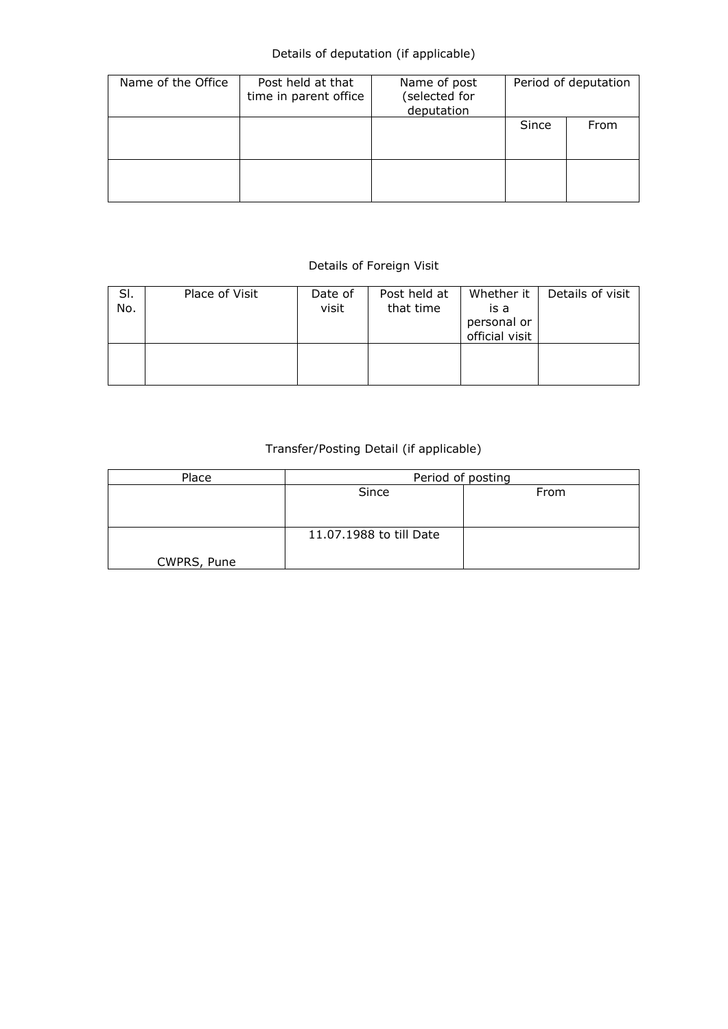## Details of deputation (if applicable)

| Name of the Office | Post held at that<br>time in parent office | Name of post<br>(selected for<br>deputation | Period of deputation |      |  |  |
|--------------------|--------------------------------------------|---------------------------------------------|----------------------|------|--|--|
|                    |                                            |                                             | Since                | From |  |  |
|                    |                                            |                                             |                      |      |  |  |

## Details of Foreign Visit

| SI.<br>No. | Place of Visit | Date of<br>visit | Post held at<br>that time | Whether it<br>is a<br>personal or<br>official visit | Details of visit |
|------------|----------------|------------------|---------------------------|-----------------------------------------------------|------------------|
|            |                |                  |                           |                                                     |                  |

## Transfer/Posting Detail (if applicable)

| Place       | Period of posting       |      |  |  |  |  |  |
|-------------|-------------------------|------|--|--|--|--|--|
|             | Since                   | From |  |  |  |  |  |
|             |                         |      |  |  |  |  |  |
|             |                         |      |  |  |  |  |  |
|             | 11.07.1988 to till Date |      |  |  |  |  |  |
|             |                         |      |  |  |  |  |  |
| CWPRS, Pune |                         |      |  |  |  |  |  |